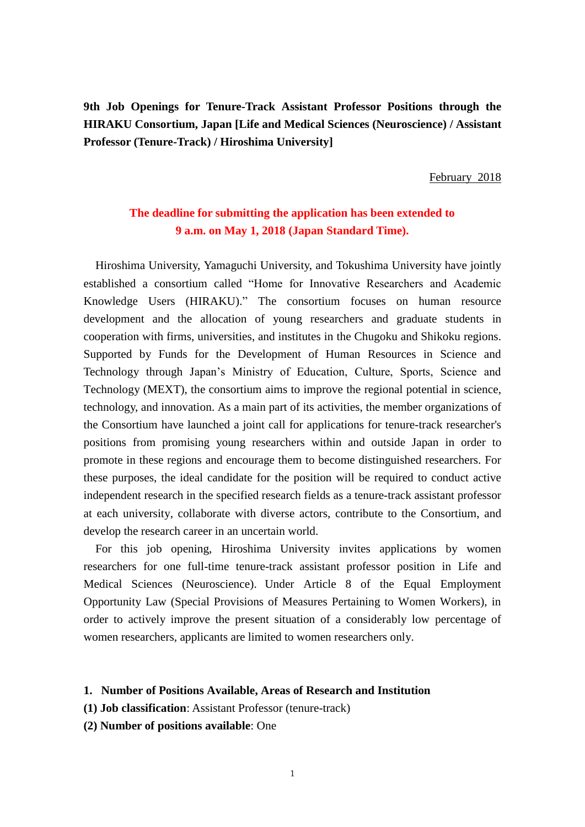**9th Job Openings for Tenure-Track Assistant Professor Positions through the HIRAKU Consortium, Japan [Life and Medical Sciences (Neuroscience) / Assistant Professor (Tenure-Track) / Hiroshima University]**

February 2018

# **The deadline for submitting the application has been extended to 9 a.m. on May 1, 2018 (Japan Standard Time).**

Hiroshima University, Yamaguchi University, and Tokushima University have jointly established a consortium called "Home for Innovative Researchers and Academic Knowledge Users (HIRAKU)." The consortium focuses on human resource development and the allocation of young researchers and graduate students in cooperation with firms, universities, and institutes in the Chugoku and Shikoku regions. Supported by Funds for the Development of Human Resources in Science and Technology through Japan's Ministry of Education, Culture, Sports, Science and Technology (MEXT), the consortium aims to improve the regional potential in science, technology, and innovation. As a main part of its activities, the member organizations of the Consortium have launched a joint call for applications for tenure-track researcher's positions from promising young researchers within and outside Japan in order to promote in these regions and encourage them to become distinguished researchers. For these purposes, the ideal candidate for the position will be required to conduct active independent research in the specified research fields as a tenure-track assistant professor at each university, collaborate with diverse actors, contribute to the Consortium, and develop the research career in an uncertain world.

For this job opening, Hiroshima University invites applications by women researchers for one full-time tenure-track assistant professor position in Life and Medical Sciences (Neuroscience). Under Article 8 of the Equal Employment Opportunity Law (Special Provisions of Measures Pertaining to Women Workers), in order to actively improve the present situation of a considerably low percentage of women researchers, applicants are limited to women researchers only.

#### **1. Number of Positions Available, Areas of Research and Institution**

- **(1) Job classification**: Assistant Professor (tenure-track)
- **(2) Number of positions available**: One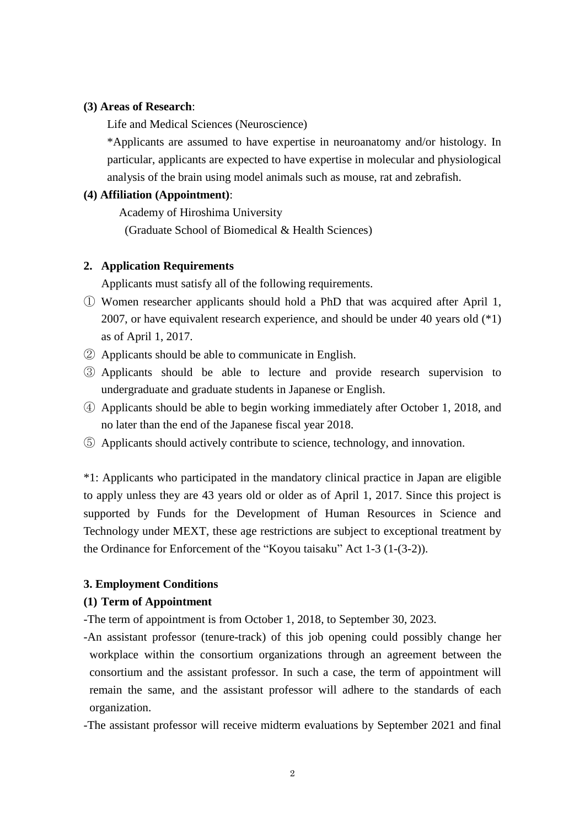#### **(3) Areas of Research**:

Life and Medical Sciences (Neuroscience)

\*Applicants are assumed to have expertise in neuroanatomy and/or histology. In particular, applicants are expected to have expertise in molecular and physiological analysis of the brain using model animals such as mouse, rat and zebrafish.

# **(4) Affiliation (Appointment)**:

Academy of Hiroshima University

(Graduate School of Biomedical & Health Sciences)

## **2. Application Requirements**

Applicants must satisfy all of the following requirements.

- ① Women researcher applicants should hold a PhD that was acquired after April 1, 2007, or have equivalent research experience, and should be under 40 years old (\*1) as of April 1, 2017.
- ② Applicants should be able to communicate in English.
- ③ Applicants should be able to lecture and provide research supervision to undergraduate and graduate students in Japanese or English.
- ④ Applicants should be able to begin working immediately after October 1, 2018, and no later than the end of the Japanese fiscal year 2018.
- ⑤ Applicants should actively contribute to science, technology, and innovation.

\*1: Applicants who participated in the mandatory clinical practice in Japan are eligible to apply unless they are 43 years old or older as of April 1, 2017. Since this project is supported by Funds for the Development of Human Resources in Science and Technology under MEXT, these age restrictions are subject to exceptional treatment by the Ordinance for Enforcement of the "Koyou taisaku" Act 1-3 (1-(3-2)).

### **3. Employment Conditions**

## **(1) Term of Appointment**

- -The term of appointment is from October 1, 2018, to September 30, 2023.
- -An assistant professor (tenure-track) of this job opening could possibly change her workplace within the consortium organizations through an agreement between the consortium and the assistant professor. In such a case, the term of appointment will remain the same, and the assistant professor will adhere to the standards of each organization.
- -The assistant professor will receive midterm evaluations by September 2021 and final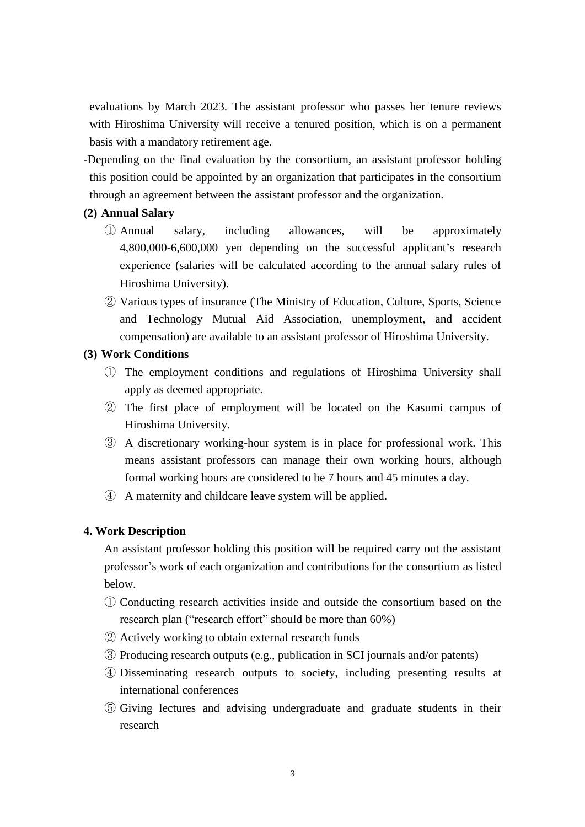evaluations by March 2023. The assistant professor who passes her tenure reviews with Hiroshima University will receive a tenured position, which is on a permanent basis with a mandatory retirement age.

-Depending on the final evaluation by the consortium, an assistant professor holding this position could be appointed by an organization that participates in the consortium through an agreement between the assistant professor and the organization.

# **(2) Annual Salary**

- ① Annual salary, including allowances, will be approximately 4,800,000-6,600,000 yen depending on the successful applicant's research experience (salaries will be calculated according to the annual salary rules of Hiroshima University).
- ② Various types of insurance (The Ministry of Education, Culture, Sports, Science and Technology Mutual Aid Association, unemployment, and accident compensation) are available to an assistant professor of Hiroshima University.

# **(3) Work Conditions**

- ① The employment conditions and regulations of Hiroshima University shall apply as deemed appropriate.
- ② The first place of employment will be located on the Kasumi campus of Hiroshima University.
- ③ A discretionary working-hour system is in place for professional work. This means assistant professors can manage their own working hours, although formal working hours are considered to be 7 hours and 45 minutes a day.
- ④ A maternity and childcare leave system will be applied.

# **4. Work Description**

An assistant professor holding this position will be required carry out the assistant professor's work of each organization and contributions for the consortium as listed below.

- ① Conducting research activities inside and outside the consortium based on the research plan ("research effort" should be more than 60%)
- ② Actively working to obtain external research funds
- ③ Producing research outputs (e.g., publication in SCI journals and/or patents)
- ④ Disseminating research outputs to society, including presenting results at international conferences
- ⑤ Giving lectures and advising undergraduate and graduate students in their research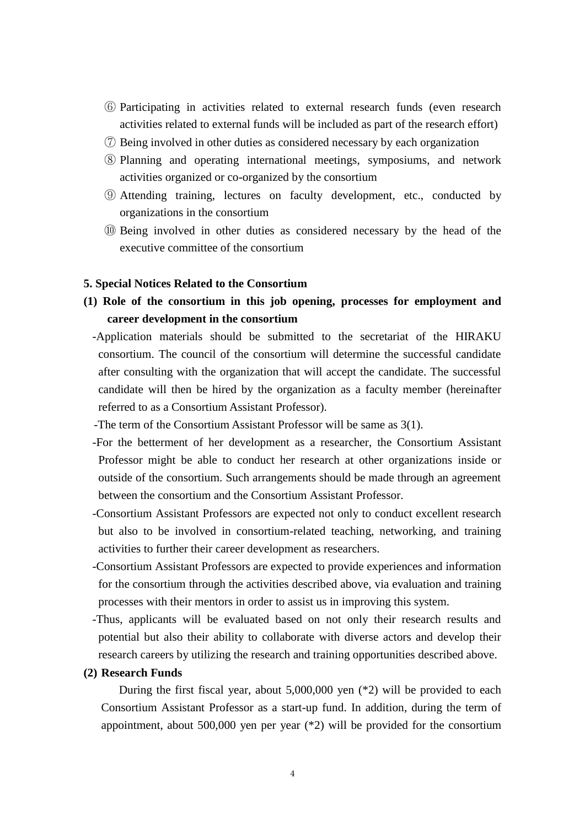- ⑥ Participating in activities related to external research funds (even research activities related to external funds will be included as part of the research effort)
- ⑦ Being involved in other duties as considered necessary by each organization
- ⑧ Planning and operating international meetings, symposiums, and network activities organized or co-organized by the consortium
- ⑨ Attending training, lectures on faculty development, etc., conducted by organizations in the consortium
- ⑩ Being involved in other duties as considered necessary by the head of the executive committee of the consortium

#### **5. Special Notices Related to the Consortium**

- **(1) Role of the consortium in this job opening, processes for employment and career development in the consortium**
	- -Application materials should be submitted to the secretariat of the HIRAKU consortium. The council of the consortium will determine the successful candidate after consulting with the organization that will accept the candidate. The successful candidate will then be hired by the organization as a faculty member (hereinafter referred to as a Consortium Assistant Professor).
	- -The term of the Consortium Assistant Professor will be same as 3(1).
	- -For the betterment of her development as a researcher, the Consortium Assistant Professor might be able to conduct her research at other organizations inside or outside of the consortium. Such arrangements should be made through an agreement between the consortium and the Consortium Assistant Professor.
	- -Consortium Assistant Professors are expected not only to conduct excellent research but also to be involved in consortium-related teaching, networking, and training activities to further their career development as researchers.
	- -Consortium Assistant Professors are expected to provide experiences and information for the consortium through the activities described above, via evaluation and training processes with their mentors in order to assist us in improving this system.
	- -Thus, applicants will be evaluated based on not only their research results and potential but also their ability to collaborate with diverse actors and develop their research careers by utilizing the research and training opportunities described above.

#### **(2) Research Funds**

During the first fiscal year, about 5,000,000 yen (\*2) will be provided to each Consortium Assistant Professor as a start-up fund. In addition, during the term of appointment, about 500,000 yen per year  $(*2)$  will be provided for the consortium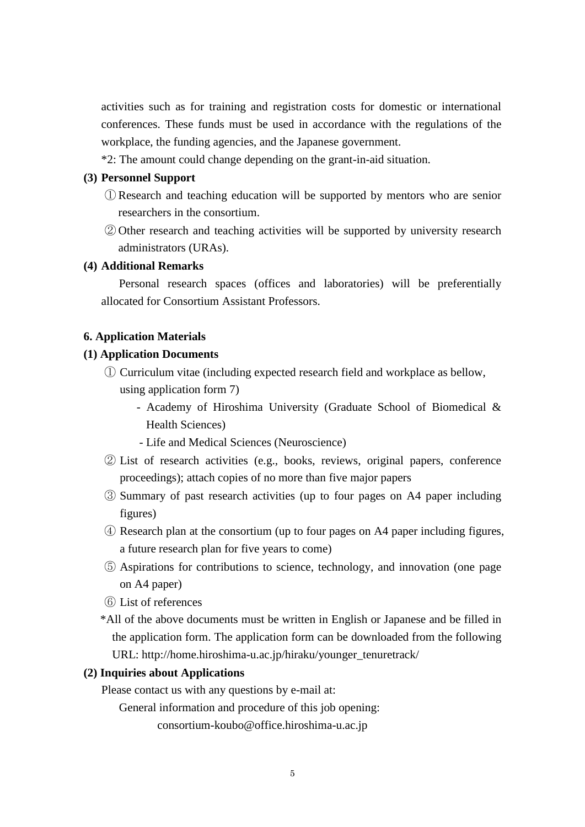activities such as for training and registration costs for domestic or international conferences. These funds must be used in accordance with the regulations of the workplace, the funding agencies, and the Japanese government.

\*2: The amount could change depending on the grant-in-aid situation.

## **(3) Personnel Support**

- ① Research and teaching education will be supported by mentors who are senior researchers in the consortium.
- ② Other research and teaching activities will be supported by university research administrators (URAs).

### **(4) Additional Remarks**

Personal research spaces (offices and laboratories) will be preferentially allocated for Consortium Assistant Professors.

### **6. Application Materials**

## **(1) Application Documents**

- ① Curriculum vitae (including expected research field and workplace as bellow, using application form 7)
	- Academy of Hiroshima University (Graduate School of Biomedical & Health Sciences)
	- Life and Medical Sciences (Neuroscience)
- ② List of research activities (e.g., books, reviews, original papers, conference proceedings); attach copies of no more than five major papers
- ③ Summary of past research activities (up to four pages on A4 paper including figures)
- ④ Research plan at the consortium (up to four pages on A4 paper including figures, a future research plan for five years to come)
- ⑤ Aspirations for contributions to science, technology, and innovation (one page on A4 paper)
- ⑥ List of references
- \*All of the above documents must be written in English or Japanese and be filled in the application form. The application form can be downloaded from the following URL: http://home.hiroshima-u.ac.jp/hiraku/younger\_tenuretrack/

### **(2) Inquiries about Applications**

Please contact us with any questions by e-mail at:

General information and procedure of this job opening:

consortium-koubo@office.hiroshima-u.ac.jp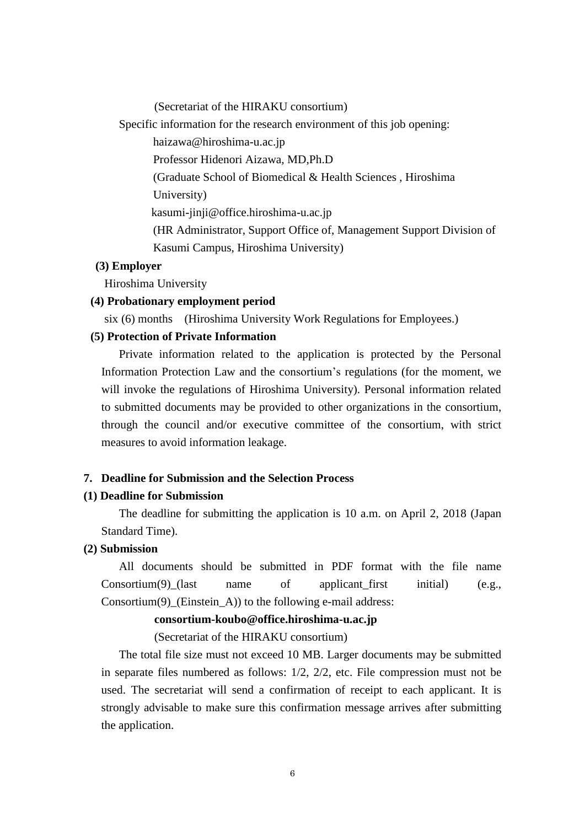(Secretariat of the HIRAKU consortium)

Specific information for the research environment of this job opening:

haizawa@hiroshima-u.ac.jp

Professor Hidenori Aizawa, MD,Ph.D

(Graduate School of Biomedical & Health Sciences , Hiroshima

University)

kasumi-jinji@office.hiroshima-u.ac.jp

(HR Administrator, Support Office of, Management Support Division of Kasumi Campus, Hiroshima University)

# **(3) Employer**

Hiroshima University

#### **(4) Probationary employment period**

six (6) months (Hiroshima University Work Regulations for Employees.)

### **(5) Protection of Private Information**

Private information related to the application is protected by the Personal Information Protection Law and the consortium's regulations (for the moment, we will invoke the regulations of Hiroshima University). Personal information related to submitted documents may be provided to other organizations in the consortium, through the council and/or executive committee of the consortium, with strict measures to avoid information leakage.

# **7. Deadline for Submission and the Selection Process**

## **(1) Deadline for Submission**

The deadline for submitting the application is 10 a.m. on April 2, 2018 (Japan Standard Time).

#### **(2) Submission**

All documents should be submitted in PDF format with the file name  $Consortium(9)$  (last name of applicant first initial) (e.g., Consortium(9) (Einstein A)) to the following e-mail address:

### **consortium-koubo@office.hiroshima-u.ac.jp**

(Secretariat of the HIRAKU consortium)

The total file size must not exceed 10 MB. Larger documents may be submitted in separate files numbered as follows:  $1/2$ ,  $2/2$ , etc. File compression must not be used. The secretariat will send a confirmation of receipt to each applicant. It is strongly advisable to make sure this confirmation message arrives after submitting the application.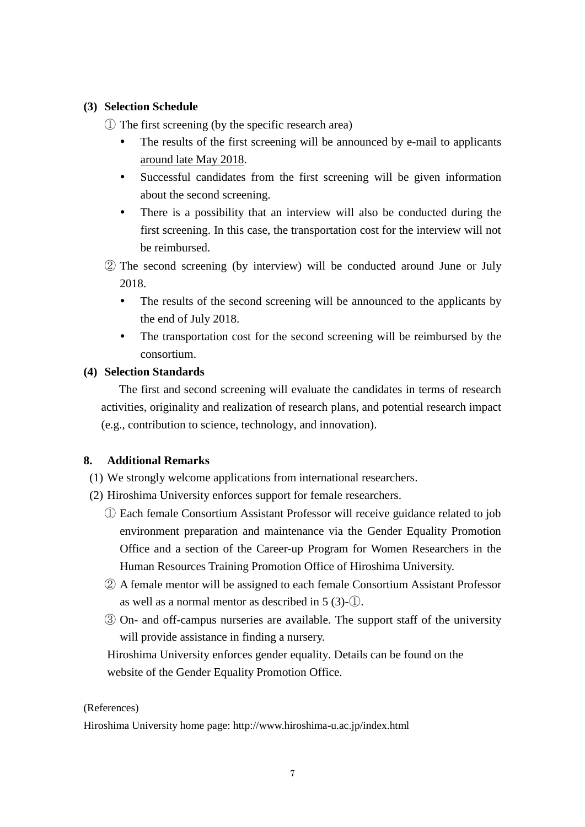# **(3) Selection Schedule**

① The first screening (by the specific research area)

- The results of the first screening will be announced by e-mail to applicants around late May 2018.
- Successful candidates from the first screening will be given information about the second screening.
- There is a possibility that an interview will also be conducted during the first screening. In this case, the transportation cost for the interview will not be reimbursed.

② The second screening (by interview) will be conducted around June or July 2018.

- The results of the second screening will be announced to the applicants by the end of July 2018.
- The transportation cost for the second screening will be reimbursed by the consortium.

# **(4) Selection Standards**

The first and second screening will evaluate the candidates in terms of research activities, originality and realization of research plans, and potential research impact (e.g., contribution to science, technology, and innovation).

# **8. Additional Remarks**

- (1) We strongly welcome applications from international researchers.
- (2) Hiroshima University enforces support for female researchers.
	- ① Each female Consortium Assistant Professor will receive guidance related to job environment preparation and maintenance via the Gender Equality Promotion Office and a section of the Career-up Program for Women Researchers in the Human Resources Training Promotion Office of Hiroshima University.
	- ② A female mentor will be assigned to each female Consortium Assistant Professor as well as a normal mentor as described in 5 (3)-①.
	- ③ On- and off-campus nurseries are available. The support staff of the university will provide assistance in finding a nursery.

 Hiroshima University enforces gender equality. Details can be found on the website of the Gender Equality Promotion Office.

# (References)

Hiroshima University home page: http://www.hiroshima-u.ac.jp/index.html